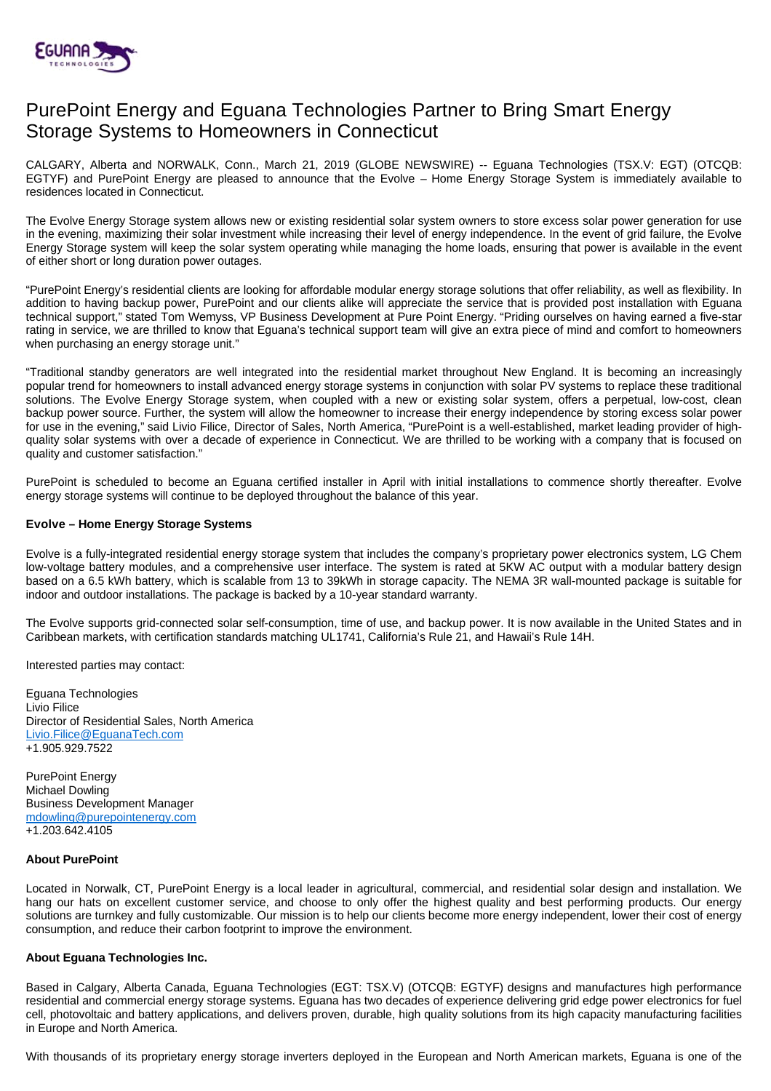

# PurePoint Energy and Eguana Technologies Partner to Bring Smart Energy Storage Systems to Homeowners in Connecticut

CALGARY, Alberta and NORWALK, Conn., March 21, 2019 (GLOBE NEWSWIRE) -- Eguana Technologies (TSX.V: EGT) (OTCQB: EGTYF) and PurePoint Energy are pleased to announce that the Evolve – Home Energy Storage System is immediately available to residences located in Connecticut.

The Evolve Energy Storage system allows new or existing residential solar system owners to store excess solar power generation for use in the evening, maximizing their solar investment while increasing their level of energy independence. In the event of grid failure, the Evolve Energy Storage system will keep the solar system operating while managing the home loads, ensuring that power is available in the event of either short or long duration power outages.

"PurePoint Energy's residential clients are looking for affordable modular energy storage solutions that offer reliability, as well as flexibility. In addition to having backup power, PurePoint and our clients alike will appreciate the service that is provided post installation with Eguana technical support," stated Tom Wemyss, VP Business Development at Pure Point Energy. "Priding ourselves on having earned a five-star rating in service, we are thrilled to know that Eguana's technical support team will give an extra piece of mind and comfort to homeowners when purchasing an energy storage unit."

"Traditional standby generators are well integrated into the residential market throughout New England. It is becoming an increasingly popular trend for homeowners to install advanced energy storage systems in conjunction with solar PV systems to replace these traditional solutions. The Evolve Energy Storage system, when coupled with a new or existing solar system, offers a perpetual, low-cost, clean backup power source. Further, the system will allow the homeowner to increase their energy independence by storing excess solar power for use in the evening," said Livio Filice, Director of Sales, North America, "PurePoint is a well-established, market leading provider of highquality solar systems with over a decade of experience in Connecticut. We are thrilled to be working with a company that is focused on quality and customer satisfaction."

PurePoint is scheduled to become an Eguana certified installer in April with initial installations to commence shortly thereafter. Evolve energy storage systems will continue to be deployed throughout the balance of this year.

## **Evolve – Home Energy Storage Systems**

Evolve is a fully-integrated residential energy storage system that includes the company's proprietary power electronics system, LG Chem low-voltage battery modules, and a comprehensive user interface. The system is rated at 5KW AC output with a modular battery design based on a 6.5 kWh battery, which is scalable from 13 to 39kWh in storage capacity. The NEMA 3R wall-mounted package is suitable for indoor and outdoor installations. The package is backed by a 10-year standard warranty.

The Evolve supports grid-connected solar self-consumption, time of use, and backup power. It is now available in the United States and in Caribbean markets, with certification standards matching UL1741, California's Rule 21, and Hawaii's Rule 14H.

Interested parties may contact:

Eguana Technologies Livio Filice Director of Residential Sales, North America [Livio.Filice@EguanaTech.com](mailto:Livio.Filice@EguanaTech.com) +1.905.929.7522

PurePoint Energy Michael Dowling Business Development Manager [mdowling@purepointenergy.com](mailto:mdowling@purepointenergy.com) +1.203.642.4105

## **About PurePoint**

Located in Norwalk, CT, PurePoint Energy is a local leader in agricultural, commercial, and residential solar design and installation. We hang our hats on excellent customer service, and choose to only offer the highest quality and best performing products. Our energy solutions are turnkey and fully customizable. Our mission is to help our clients become more energy independent, lower their cost of energy consumption, and reduce their carbon footprint to improve the environment.

## **About Eguana Technologies Inc.**

Based in Calgary, Alberta Canada, Eguana Technologies (EGT: TSX.V) (OTCQB: EGTYF) designs and manufactures high performance residential and commercial energy storage systems. Eguana has two decades of experience delivering grid edge power electronics for fuel cell, photovoltaic and battery applications, and delivers proven, durable, high quality solutions from its high capacity manufacturing facilities in Europe and North America.

With thousands of its proprietary energy storage inverters deployed in the European and North American markets, Eguana is one of the